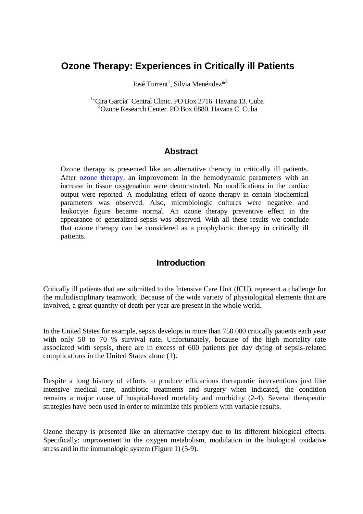# **Ozone Therapy: Experiences in Critically ill Patients**

José Turrent<sup>1</sup>, Silvia Menéndez<sup>\*2</sup>

<sup>1</sup> Cira García<sup>:</sup> Central Clinic. PO Box 2716. Havana 13. Cuba 2 Ozone Research Center. PO Box 6880. Havana C. Cuba

#### **Abstract**

Ozone therapy is presented like an alternative therapy in critically ill patients. After [ozone therapy,](http://www.austinozone.com/) an improvement in the hemodynamic parameters with an increase in tissue oxygenation were demonstrated. No modifications in the cardiac output were reported. A modulating effect of ozone therapy in certain biochemical parameters was observed. Also, microbiologic cultures were negative and leukocyte figure became normal. An ozone therapy preventive effect in the appearance of generalized sepsis was observed. With all these results we conclude that ozone therapy can be considered as a prophylactic therapy in critically ill patients.

#### **Introduction**

Critically ill patients that are submitted to the Intensive Care Unit (ICU), represent a challenge for the multidisciplinary teamwork. Because of the wide variety of physiological elements that are involved, a great quantity of death per year are present in the whole world.

In the United States for example, sepsis develops in more than 750 000 critically patients each year with only 50 to 70 % survival rate. Unfortunately, because of the high mortality rate associated with sepsis, there are in excess of 600 patients per day dying of sepsis-related complications in the United States alone (1).

Despite a long history of efforts to produce efficacious therapeutic interventions just like intensive medical care, antibiotic treatments and surgery when indicated, the condition remains a major cause of hospital-based mortality and morbidity (2-4). Several therapeutic strategies have been used in order to minimize this problem with variable results.

Ozone therapy is presented like an alternative therapy due to its different biological effects. Specifically: improvement in the oxygen metabolism, modulation in the biological oxidative stress and in the immunologic system (Figure 1) (5-9).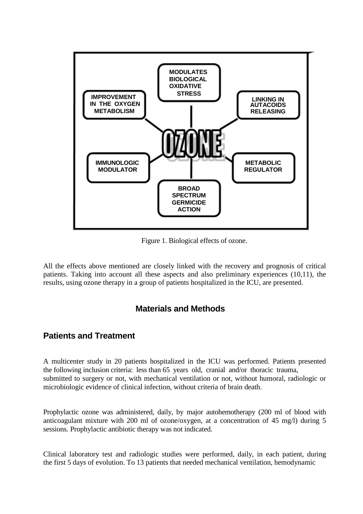

Figure 1. Biological effects of ozone.

All the effects above mentioned are closely linked with the recovery and prognosis of critical patients. Taking into account all these aspects and also preliminary experiences (10,11), the results, using ozone therapy in a group of patients hospitalized in the ICU, are presented.

## **Materials and Methods**

## **Patients and Treatment**

A multicenter study in 20 patients hospitalized in the ICU was performed. Patients presented the following inclusion criteria: less than 65 years old, cranial and/or thoracic trauma, submitted to surgery or not, with mechanical ventilation or not, without humoral, radiologic or microbiologic evidence of clinical infection, without criteria of brain death.

Prophylactic ozone was administered, daily, by major autohemotherapy (200 ml of blood with anticoagulant mixture with 200 ml of ozone/oxygen, at a concentration of 45 mg/l) during 5 sessions. Prophylactic antibiotic therapy was not indicated.

Clinical laboratory test and radiologic studies were performed, daily, in each patient, during the first 5 days of evolution. To 13 patients that needed mechanical ventilation, hemodynamic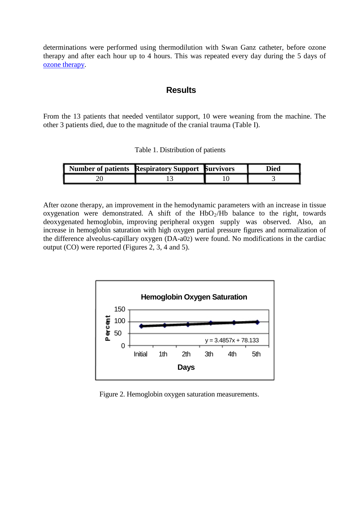determinations were performed using thermodilution with Swan Ganz catheter, before ozone therapy and after each hour up to 4 hours. This was repeated every day during the 5 days of [ozone therapy.](http://www.ozonemachine.org/)

#### **Results**

From the 13 patients that needed ventilator support, 10 were weaning from the machine. The other 3 patients died, due to the magnitude of the cranial trauma (Table I).

| Table 1. Distribution of patients |  |
|-----------------------------------|--|
|-----------------------------------|--|

| Number of patients Respiratory Support Survivors |  | )ied |
|--------------------------------------------------|--|------|
|                                                  |  |      |

After ozone therapy, an improvement in the hemodynamic parameters with an increase in tissue oxygenation were demonstrated. A shift of the  $HbO<sub>2</sub>/Hb$  balance to the right, towards deoxygenated hemoglobin, improving peripheral oxygen supply was observed. Also, an increase in hemoglobin saturation with high oxygen partial pressure figures and normalization of the difference alveolus-capillary oxygen (DA-a02) were found. No modifications in the cardiac output (CO) were reported (Figures 2, 3, 4 and 5).



Figure 2. Hemoglobin oxygen saturation measurements.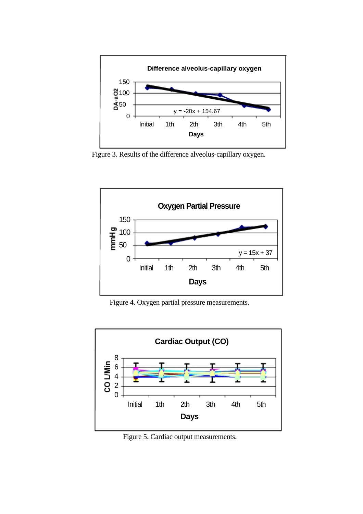

Figure 3. Results of the difference alveolus-capillary oxygen.



Figure 4. Oxygen partial pressure measurements.



Figure 5. Cardiac output measurements.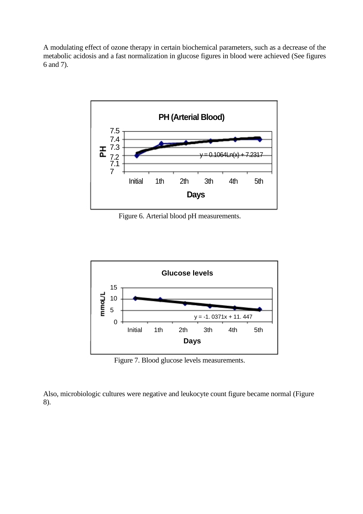A modulating effect of ozone therapy in certain biochemical parameters, such as a decrease of the metabolic acidosis and a fast normalization in glucose figures in blood were achieved (See figures 6 and 7).



Figure 6. Arterial blood pH measurements.



Figure 7. Blood glucose levels measurements.

Also, microbiologic cultures were negative and leukocyte count figure became normal (Figure 8).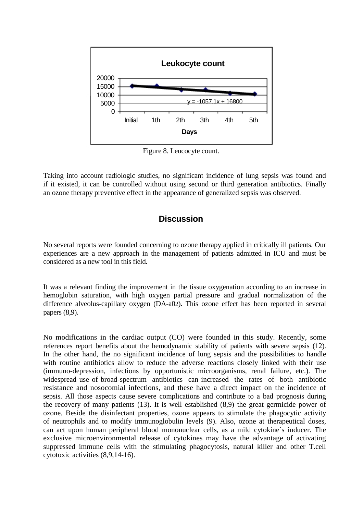

Figure 8. Leucocyte count.

Taking into account radiologic studies, no significant incidence of lung sepsis was found and if it existed, it can be controlled without using second or third generation antibiotics. Finally an ozone therapy preventive effect in the appearance of generalized sepsis was observed.

### **Discussion**

No several reports were founded concerning to ozone therapy applied in critically ill patients. Our experiences are a new approach in the management of patients admitted in ICU and must be considered as a new tool in this field.

It was a relevant finding the improvement in the tissue oxygenation according to an increase in hemoglobin saturation, with high oxygen partial pressure and gradual normalization of the difference alveolus-capillary oxygen (DA-a02). This ozone effect has been reported in several papers (8,9).

No modifications in the cardiac output (CO) were founded in this study. Recently, some references report benefits about the hemodynamic stability of patients with severe sepsis (12). In the other hand, the no significant incidence of lung sepsis and the possibilities to handle with routine antibiotics allow to reduce the adverse reactions closely linked with their use (immuno-depression, infections by opportunistic microorganisms, renal failure, etc.). The widespread use of broad-spectrum antibiotics can increased the rates of both antibiotic resistance and nosocomial infections, and these have a direct impact on the incidence of sepsis. All those aspects cause severe complications and contribute to a bad prognosis during the recovery of many patients (13). It is well established (8,9) the great germicide power of ozone. Beside the disinfectant properties, ozone appears to stimulate the phagocytic activity of neutrophils and to modify immunoglobulin levels (9). Also, ozone at therapeutical doses, can act upon human peripheral blood mononuclear cells, as a mild cytokine´s inducer. The exclusive microenvironmental release of cytokines may have the advantage of activating suppressed immune cells with the stimulating phagocytosis, natural killer and other T.cell cytotoxic activities (8,9,14-16).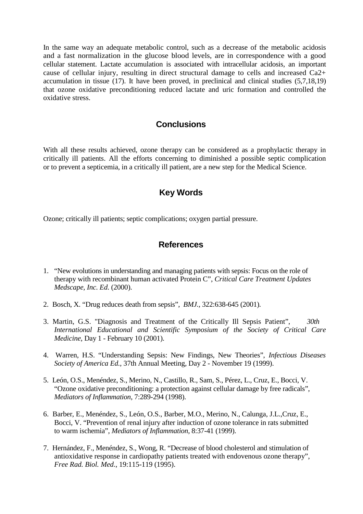In the same way an adequate metabolic control, such as a decrease of the metabolic acidosis and a fast normalization in the glucose blood levels, are in correspondence with a good cellular statement. Lactate accumulation is associated with intracellular acidosis, an important cause of cellular injury, resulting in direct structural damage to cells and increased Ca2+ accumulation in tissue (17). It have been proved, in preclinical and clinical studies (5,7,18,19) that ozone oxidative preconditioning reduced lactate and uric formation and controlled the oxidative stress.

#### **Conclusions**

With all these results achieved, ozone therapy can be considered as a prophylactic therapy in critically ill patients. All the efforts concerning to diminished a possible septic complication or to prevent a septicemia, in a critically ill patient, are a new step for the Medical Science.

## **Key Words**

Ozone; critically ill patients; septic complications; oxygen partial pressure.

#### **References**

- 1. "New evolutions in understanding and managing patients with sepsis: Focus on the role of therapy with recombinant human activated Protein C", *Critical Care Treatment Updates Medscape, Inc*. *Ed*. (2000).
- 2. Bosch, X. "Drug reduces death from sepsis", *BMJ.,* 322:638-645 (2001).
- 3. Martin, G.S. "Diagnosis and Treatment of the Critically Ill Sepsis Patient", *30th International Educational and Scientific Symposium of the Society of Critical Care Medicine*, Day 1 - February 10 (2001).
- 4. Warren, H.S. "Understanding Sepsis: New Findings, New Theories", *Infectious Diseases Society of America Ed.,* 37th Annual Meeting*,* Day 2 - November 19 (1999).
- 5. León, O.S., Menéndez, S., Merino, N., Castillo, R., Sam, S., Pérez, L., Cruz, E., Bocci, V. "Ozone oxidative preconditioning: a protection against cellular damage by free radicals", *Mediators of Inflammation*, 7:289-294 (1998).
- 6. Barber, E., Menéndez, S., León, O.S., Barber, M.O., Merino, N., Calunga, J.L.,Cruz, E., Bocci, V. "Prevention of renal injury after induction of ozone tolerance in rats submitted to warm ischemia", *Mediators of Inflammation*, 8:37-41 (1999).
- 7. Hernández, F., Menéndez, S., Wong, R. "Decrease of blood cholesterol and stimulation of antioxidative response in cardiopathy patients treated with endovenous ozone therapy", *Free Rad. Biol. Med*., 19:115-119 (1995).